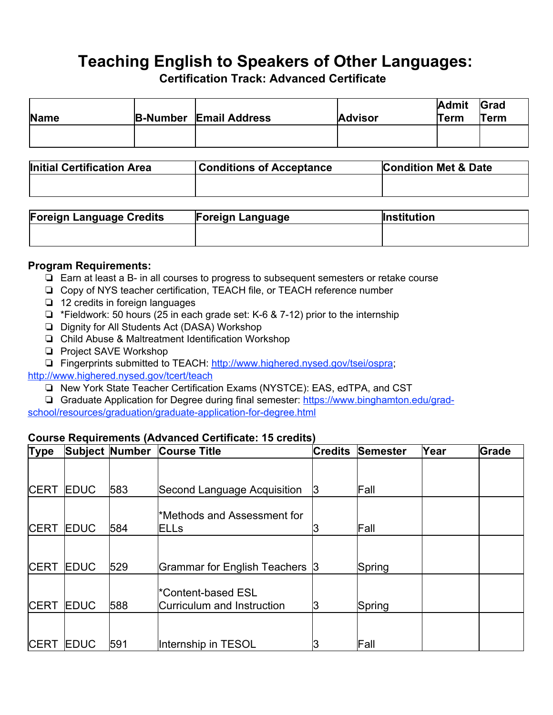# **Teaching English to Speakers of Other Languages:**

**Certification Track: Advanced Certificate**

| Name | <b>B-Number Email Address</b> | <b>Advisor</b> | <b>Admit</b><br>Term | Grad<br>Term |
|------|-------------------------------|----------------|----------------------|--------------|
|      |                               |                |                      |              |

| Initial Certification Area | <b>Conditions of Acceptance</b> | <b>Condition Met &amp; Date</b> |
|----------------------------|---------------------------------|---------------------------------|
|                            |                                 |                                 |
|                            |                                 |                                 |

| <b>Foreign Language Credits</b> | <b>Foreign Language</b> | <b>Institution</b> |
|---------------------------------|-------------------------|--------------------|
|                                 |                         |                    |
|                                 |                         |                    |

#### **Program Requirements:**

- ❏ Earn at least a B- in all courses to progress to subsequent semesters or retake course
- ❏ Copy of NYS teacher certification, TEACH file, or TEACH reference number
- ❏ 12 credits in foreign languages
- ❏ \*Fieldwork: 50 hours (25 in each grade set: K-6 & 7-12) prior to the internship
- ❏ Dignity for All Students Act (DASA) Workshop
- ❏ Child Abuse & Maltreatment Identification Workshop
- ❏ Project SAVE Workshop
- ❏ Fingerprints submitted to TEACH: <http://www.highered.nysed.gov/tsei/ospra>;
- <http://www.highered.nysed.gov/tcert/teach>
	- ❏ New York State Teacher Certification Exams (NYSTCE): EAS, edTPA, and CST
	- ❏ Graduate Application for Degree during final semester: [https://www.binghamton.edu/grad-](https://www.binghamton.edu/grad-school/resources/graduation/graduate-application-for-degree.html)

[school/resources/graduation/graduate-application-for-degree.html](https://www.binghamton.edu/grad-school/resources/graduation/graduate-application-for-degree.html)

### **Course Requirements (Advanced Certificate: 15 credits)**

| <b>Type</b> |              | <b>Subject Number</b> | <b>Course Title</b>                                    | <b>Credits</b> | <b>Semester</b> | Year | Grade |
|-------------|--------------|-----------------------|--------------------------------------------------------|----------------|-----------------|------|-------|
|             |              |                       |                                                        |                |                 |      |       |
| <b>CERT</b> | <b>EDUC</b>  | 583                   | Second Language Acquisition                            | IЗ             | Fall            |      |       |
| <b>CERT</b> | <b>IEDUC</b> | 584                   | Methods and Assessment for <sup>*</sup><br><b>ELLs</b> |                | Fall            |      |       |
|             |              |                       |                                                        |                |                 |      |       |
| <b>CERT</b> | <b>EDUC</b>  | 529                   | Grammar for English Teachers 3                         |                | Spring          |      |       |
| <b>CERT</b> | <b>IEDUC</b> | 588                   | Content-based ESL*<br>Curriculum and Instruction       | 13             | Spring          |      |       |
|             |              |                       |                                                        |                |                 |      |       |
| <b>CERT</b> | <b>IEDUC</b> | 591                   | Internship in TESOL                                    |                | Fall            |      |       |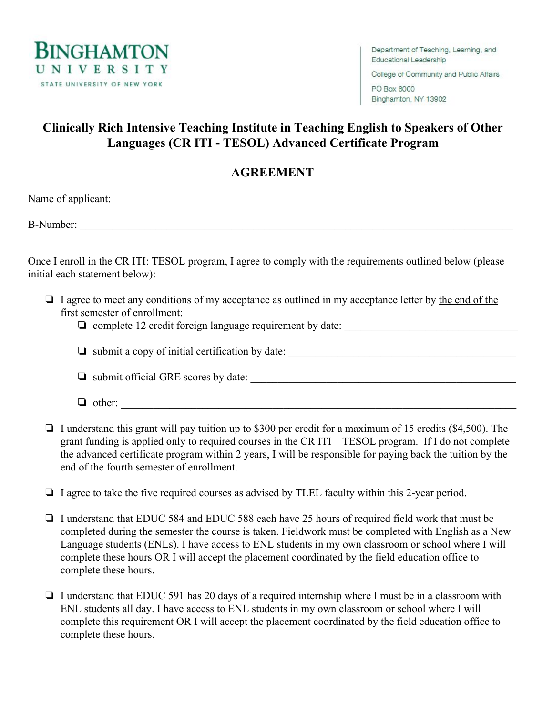

College of Community and Public Affairs PO Box 6000

Binghamton, NY 13902

# **Clinically Rich Intensive Teaching Institute in Teaching English to Speakers of Other Languages (CR ITI - TESOL) Advanced Certificate Program**

## **AGREEMENT**

Name of applicant:

B-Number:

Once I enroll in the CR ITI: TESOL program, I agree to comply with the requirements outlined below (please initial each statement below):

- ❏ I agree to meet any conditions of my acceptance as outlined in my acceptance letter by the end of the first semester of enrollment:
	- ❏ complete 12 credit foreign language requirement by date: \_\_\_\_\_\_\_\_\_\_\_\_\_\_\_\_\_\_\_\_\_\_\_\_\_\_\_\_\_\_\_\_

### ❏ submit a copy of initial certification by date: \_\_\_\_\_\_\_\_\_\_\_\_\_\_\_\_\_\_\_\_\_\_\_\_\_\_\_\_\_\_\_\_\_\_\_\_\_\_\_\_\_\_

 $\Box$  submit official GRE scores by date:

- ❏ other: \_\_\_\_\_\_\_\_\_\_\_\_\_\_\_\_\_\_\_\_\_\_\_\_\_\_\_\_\_\_\_\_\_\_\_\_\_\_\_\_\_\_\_\_\_\_\_\_\_\_\_\_\_\_\_\_\_\_\_\_\_\_\_\_\_\_\_\_\_\_\_\_\_
- ❏ I understand this grant will pay tuition up to \$300 per credit for a maximum of 15 credits (\$4,500). The grant funding is applied only to required courses in the CR ITI – TESOL program. If I do not complete the advanced certificate program within 2 years, I will be responsible for paying back the tuition by the end of the fourth semester of enrollment.
- ❏ I agree to take the five required courses as advised by TLEL faculty within this 2-year period.
- ❏ I understand that EDUC 584 and EDUC 588 each have 25 hours of required field work that must be completed during the semester the course is taken. Fieldwork must be completed with English as a New Language students (ENLs). I have access to ENL students in my own classroom or school where I will complete these hours OR I will accept the placement coordinated by the field education office to complete these hours.
- ❏ I understand that EDUC 591 has 20 days of a required internship where I must be in a classroom with ENL students all day. I have access to ENL students in my own classroom or school where I will complete this requirement OR I will accept the placement coordinated by the field education office to complete these hours.